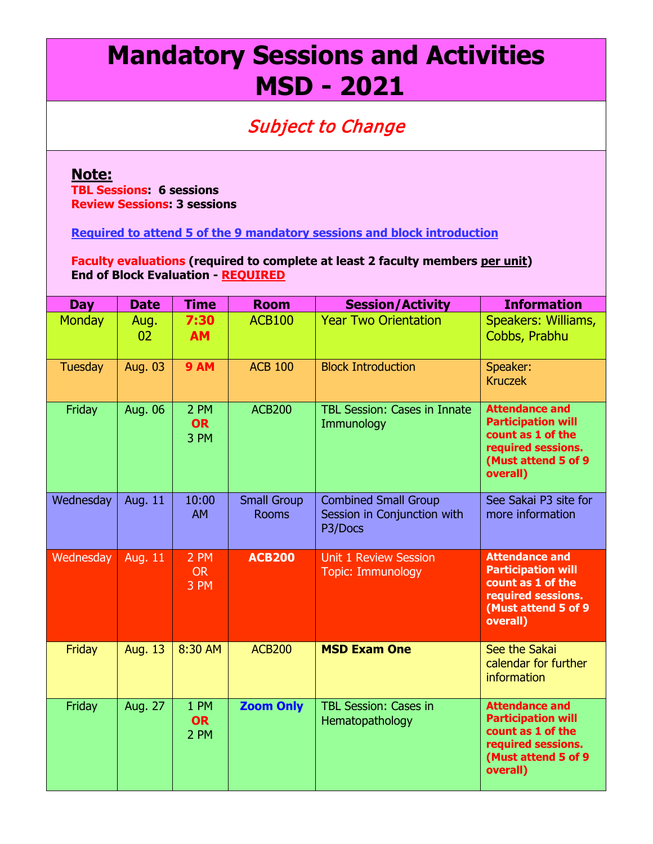## **Mandatory Sessions and Activities MSD - 2021**

## Subject to Change

## **Note:**

**TBL Sessions: 6 sessions Review Sessions: 3 sessions**

**Required to attend 5 of the 9 mandatory sessions and block introduction**

**Faculty evaluations (required to complete at least 2 faculty members per unit) End of Block Evaluation - REQUIRED**

| <b>Day</b>     | <b>Date</b>    | <b>Time</b>               | <b>Room</b>                        | <b>Session/Activity</b>                                               | <b>Information</b>                                                                                                                |
|----------------|----------------|---------------------------|------------------------------------|-----------------------------------------------------------------------|-----------------------------------------------------------------------------------------------------------------------------------|
| <b>Monday</b>  | Aug.<br>02     | 7:30<br><b>AM</b>         | <b>ACB100</b>                      | <b>Year Two Orientation</b>                                           | Speakers: Williams,<br>Cobbs, Prabhu                                                                                              |
| <b>Tuesday</b> | Aug. 03        | <b>9 AM</b>               | <b>ACB 100</b>                     | <b>Block Introduction</b>                                             | Speaker:<br><b>Kruczek</b>                                                                                                        |
| Friday         | Aug. 06        | 2 PM<br><b>OR</b><br>3 PM | <b>ACB200</b>                      | <b>TBL Session: Cases in Innate</b><br>Immunology                     | <b>Attendance and</b><br><b>Participation will</b><br>count as 1 of the<br>required sessions.<br>(Must attend 5 of 9<br>overall)  |
| Wednesday      | Aug. 11        | 10:00<br><b>AM</b>        | <b>Small Group</b><br><b>Rooms</b> | <b>Combined Small Group</b><br>Session in Conjunction with<br>P3/Docs | See Sakai P3 site for<br>more information                                                                                         |
| Wednesday      | <b>Aug. 11</b> | 2 PM<br><b>OR</b><br>3 PM | <b>ACB200</b>                      | <b>Unit 1 Review Session</b><br><b>Topic: Immunology</b>              | <b>Attendance and</b><br><b>Participation will</b><br>count as 1 of the<br>required sessions.<br>(Must attend 5 of 9<br>overall)  |
| Friday         | <b>Aug. 13</b> | 8:30 AM                   | <b>ACB200</b>                      | <b>MSD Exam One</b>                                                   | See the Sakai<br>calendar for further<br><b>information</b>                                                                       |
| Friday         | Aug. 27        | 1 PM<br><b>OR</b><br>2 PM | <b>Zoom Only</b>                   | <b>TBL Session: Cases in</b><br>Hematopathology                       | <b>Attendance and</b><br><b>Participation will</b><br>count as 1 of the<br>required sessions.<br>(Must attend 5 of 9)<br>overall) |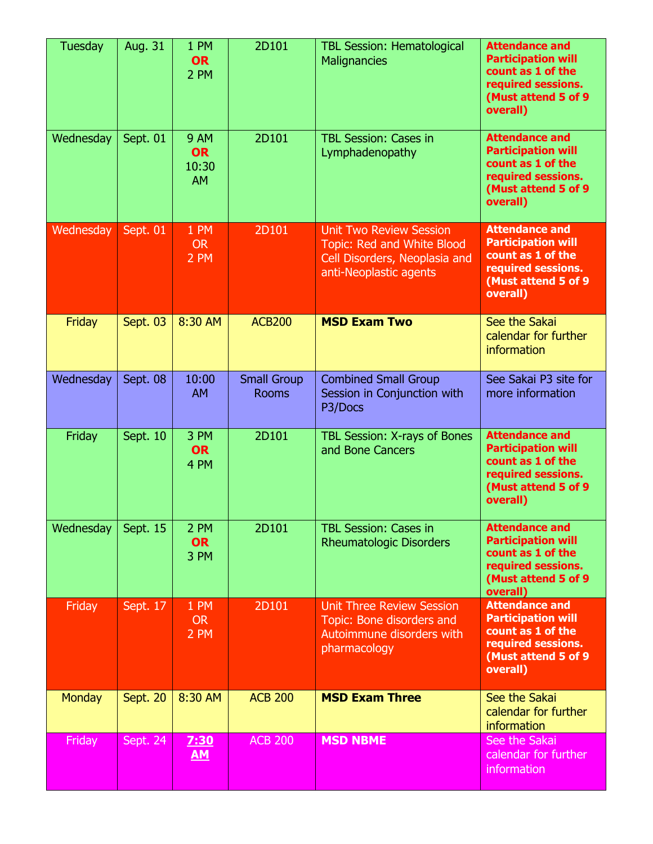| <b>Tuesday</b> | Aug. 31  | 1 PM<br><b>OR</b><br>2 PM                      | 2D101                              | <b>TBL Session: Hematological</b><br><b>Malignancies</b>                                                                       | <b>Attendance and</b><br><b>Participation will</b><br>count as 1 of the<br>required sessions.<br>(Must attend 5 of 9)<br>overall) |
|----------------|----------|------------------------------------------------|------------------------------------|--------------------------------------------------------------------------------------------------------------------------------|-----------------------------------------------------------------------------------------------------------------------------------|
| Wednesday      | Sept. 01 | <b>9 AM</b><br><b>OR</b><br>10:30<br><b>AM</b> | 2D101                              | <b>TBL Session: Cases in</b><br>Lymphadenopathy                                                                                | <b>Attendance and</b><br><b>Participation will</b><br>count as 1 of the<br>required sessions.<br>(Must attend 5 of 9)<br>overall) |
| Wednesday      | Sept. 01 | 1 PM<br><b>OR</b><br>2 PM                      | 2D101                              | <b>Unit Two Review Session</b><br><b>Topic: Red and White Blood</b><br>Cell Disorders, Neoplasia and<br>anti-Neoplastic agents | <b>Attendance and</b><br><b>Participation will</b><br>count as 1 of the<br>required sessions.<br>(Must attend 5 of 9<br>overall)  |
| Friday         | Sept. 03 | 8:30 AM                                        | <b>ACB200</b>                      | <b>MSD Exam Two</b>                                                                                                            | See the Sakai<br>calendar for further<br>information                                                                              |
| Wednesday      | Sept. 08 | 10:00<br><b>AM</b>                             | <b>Small Group</b><br><b>Rooms</b> | <b>Combined Small Group</b><br>Session in Conjunction with<br>P3/Docs                                                          | See Sakai P3 site for<br>more information                                                                                         |
| Friday         | Sept. 10 | 3 PM<br><b>OR</b><br>4 PM                      | 2D101                              | TBL Session: X-rays of Bones<br>and Bone Cancers                                                                               | <b>Attendance and</b><br><b>Participation will</b><br>count as 1 of the<br>required sessions.<br>(Must attend 5 of 9)<br>overall) |
| Wednesday      | Sept. 15 | 2 PM<br><b>OR</b><br>3 PM                      | 2D101                              | <b>TBL Session: Cases in</b><br><b>Rheumatologic Disorders</b>                                                                 | <b>Attendance and</b><br><b>Participation will</b><br>count as 1 of the<br>required sessions.<br>(Must attend 5 of 9)             |
|                |          |                                                |                                    |                                                                                                                                | overall)                                                                                                                          |
| Friday         | Sept. 17 | 1 PM<br><b>OR</b><br>2 PM                      | 2D101                              | <b>Unit Three Review Session</b><br>Topic: Bone disorders and<br>Autoimmune disorders with<br>pharmacology                     | <b>Attendance and</b><br><b>Participation will</b><br>count as 1 of the<br>required sessions.<br>(Must attend 5 of 9<br>overall)  |
| <b>Monday</b>  | Sept. 20 | 8:30 AM                                        | <b>ACB 200</b>                     | <b>MSD Exam Three</b>                                                                                                          | See the Sakai<br>calendar for further<br>information                                                                              |